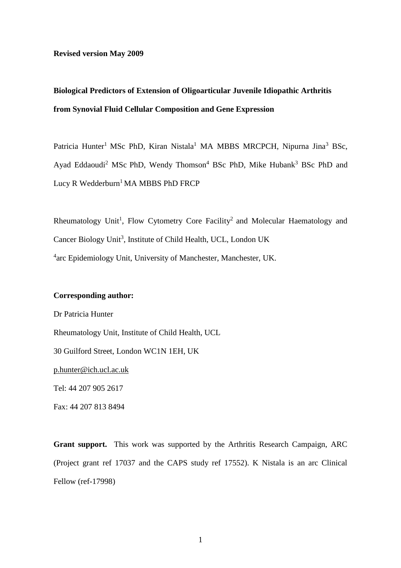### **Revised version May 2009**

# **Biological Predictors of Extension of Oligoarticular Juvenile Idiopathic Arthritis from Synovial Fluid Cellular Composition and Gene Expression**

Patricia Hunter<sup>1</sup> MSc PhD, Kiran Nistala<sup>1</sup> MA MBBS MRCPCH, Nipurna Jina<sup>3</sup> BSc, Ayad Eddaoudi<sup>2</sup> MSc PhD, Wendy Thomson<sup>4</sup> BSc PhD, Mike Hubank<sup>3</sup> BSc PhD and Lucy R Wedderburn<sup>1</sup> MA MBBS PhD FRCP

Rheumatology Unit<sup>1</sup>, Flow Cytometry Core Facility<sup>2</sup> and Molecular Haematology and Cancer Biology Unit<sup>3</sup>, Institute of Child Health, UCL, London UK <sup>4</sup>arc Epidemiology Unit, University of Manchester, Manchester, UK.

### **Corresponding author:**

Fax: 44 207 813 8494

Dr Patricia Hunter Rheumatology Unit, Institute of Child Health, UCL 30 Guilford Street, London WC1N 1EH, UK [p.hunter@ich.ucl.ac.uk](mailto:p.hunter@ich.ucl.ac.uk) Tel: 44 207 905 2617

**Grant support.** This work was supported by the Arthritis Research Campaign, ARC (Project grant ref 17037 and the CAPS study ref 17552). K Nistala is an arc Clinical Fellow (ref-17998)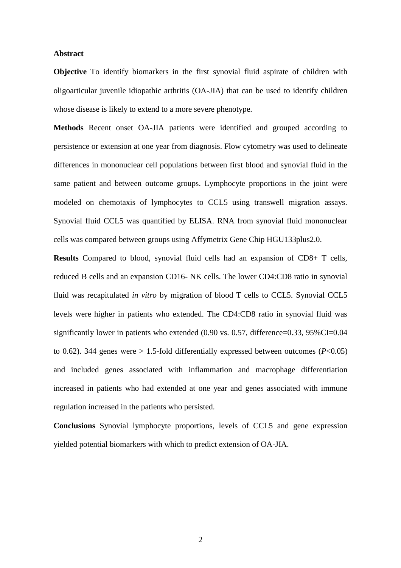### **Abstract**

**Objective** To identify biomarkers in the first synovial fluid aspirate of children with oligoarticular juvenile idiopathic arthritis (OA-JIA) that can be used to identify children whose disease is likely to extend to a more severe phenotype.

**Methods** Recent onset OA-JIA patients were identified and grouped according to persistence or extension at one year from diagnosis. Flow cytometry was used to delineate differences in mononuclear cell populations between first blood and synovial fluid in the same patient and between outcome groups. Lymphocyte proportions in the joint were modeled on chemotaxis of lymphocytes to CCL5 using transwell migration assays. Synovial fluid CCL5 was quantified by ELISA. RNA from synovial fluid mononuclear cells was compared between groups using Affymetrix Gene Chip HGU133plus2.0.

**Results** Compared to blood, synovial fluid cells had an expansion of CD8+ T cells, reduced B cells and an expansion CD16- NK cells. The lower CD4:CD8 ratio in synovial fluid was recapitulated *in vitro* by migration of blood T cells to CCL5. Synovial CCL5 levels were higher in patients who extended. The CD4:CD8 ratio in synovial fluid was significantly lower in patients who extended (0.90 vs. 0.57, difference=0.33, 95%CI=0.04 to 0.62). 344 genes were  $> 1.5$ -fold differentially expressed between outcomes ( $P < 0.05$ ) and included genes associated with inflammation and macrophage differentiation increased in patients who had extended at one year and genes associated with immune regulation increased in the patients who persisted.

**Conclusions** Synovial lymphocyte proportions, levels of CCL5 and gene expression yielded potential biomarkers with which to predict extension of OA-JIA.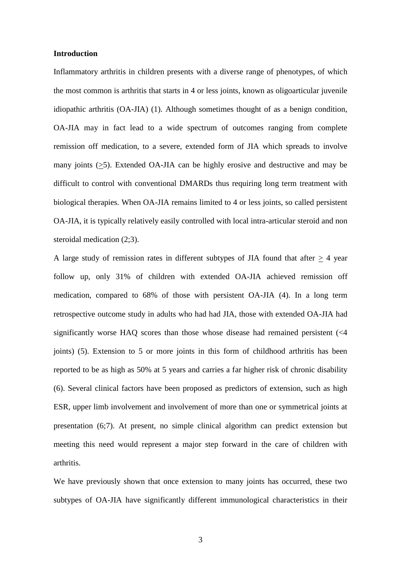#### **Introduction**

Inflammatory arthritis in children presents with a diverse range of phenotypes, of which the most common is arthritis that starts in 4 or less joints, known as oligoarticular juvenile idiopathic arthritis (OA-JIA) (1). Although sometimes thought of as a benign condition, OA-JIA may in fact lead to a wide spectrum of outcomes ranging from complete remission off medication, to a severe, extended form of JIA which spreads to involve many joints  $(\geq 5)$ . Extended OA-JIA can be highly erosive and destructive and may be difficult to control with conventional DMARDs thus requiring long term treatment with biological therapies. When OA-JIA remains limited to 4 or less joints, so called persistent OA-JIA, it is typically relatively easily controlled with local intra-articular steroid and non steroidal medication (2;3).

A large study of remission rates in different subtypes of JIA found that after  $\geq 4$  year follow up, only 31% of children with extended OA-JIA achieved remission off medication, compared to 68% of those with persistent OA-JIA (4). In a long term retrospective outcome study in adults who had had JIA, those with extended OA-JIA had significantly worse HAQ scores than those whose disease had remained persistent (<4 joints) (5). Extension to 5 or more joints in this form of childhood arthritis has been reported to be as high as 50% at 5 years and carries a far higher risk of chronic disability (6). Several clinical factors have been proposed as predictors of extension, such as high ESR, upper limb involvement and involvement of more than one or symmetrical joints at presentation (6;7). At present, no simple clinical algorithm can predict extension but meeting this need would represent a major step forward in the care of children with arthritis.

We have previously shown that once extension to many joints has occurred, these two subtypes of OA-JIA have significantly different immunological characteristics in their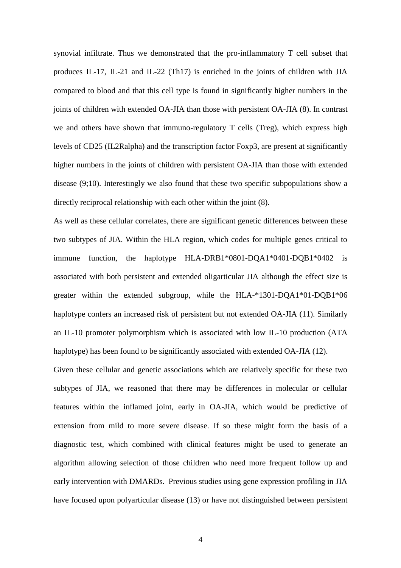synovial infiltrate. Thus we demonstrated that the pro-inflammatory T cell subset that produces IL-17, IL-21 and IL-22 (Th17) is enriched in the joints of children with JIA compared to blood and that this cell type is found in significantly higher numbers in the joints of children with extended OA-JIA than those with persistent OA-JIA (8). In contrast we and others have shown that immuno-regulatory T cells (Treg), which express high levels of CD25 (IL2Ralpha) and the transcription factor Foxp3, are present at significantly higher numbers in the joints of children with persistent OA-JIA than those with extended disease (9;10). Interestingly we also found that these two specific subpopulations show a directly reciprocal relationship with each other within the joint (8).

As well as these cellular correlates, there are significant genetic differences between these two subtypes of JIA. Within the HLA region, which codes for multiple genes critical to immune function, the haplotype HLA-DRB1\*0801-DQA1\*0401-DQB1\*0402 is associated with both persistent and extended oligarticular JIA although the effect size is greater within the extended subgroup, while the HLA-\*1301-DQA1\*01-DQB1\*06 haplotype confers an increased risk of persistent but not extended OA-JIA (11). Similarly an IL-10 promoter polymorphism which is associated with low IL-10 production (ATA haplotype) has been found to be significantly associated with extended OA-JIA (12).

Given these cellular and genetic associations which are relatively specific for these two subtypes of JIA, we reasoned that there may be differences in molecular or cellular features within the inflamed joint, early in OA-JIA, which would be predictive of extension from mild to more severe disease. If so these might form the basis of a diagnostic test, which combined with clinical features might be used to generate an algorithm allowing selection of those children who need more frequent follow up and early intervention with DMARDs. Previous studies using gene expression profiling in JIA have focused upon polyarticular disease (13) or have not distinguished between persistent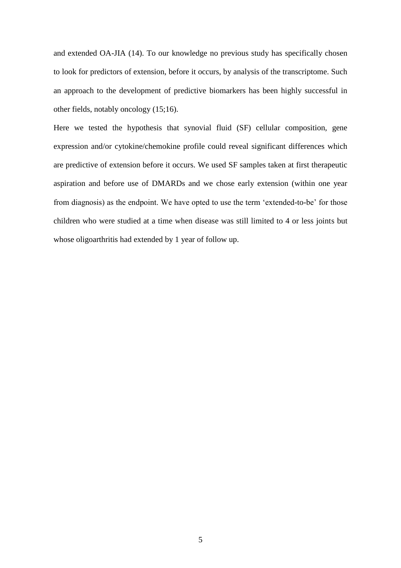and extended OA-JIA (14). To our knowledge no previous study has specifically chosen to look for predictors of extension, before it occurs, by analysis of the transcriptome. Such an approach to the development of predictive biomarkers has been highly successful in other fields, notably oncology (15;16).

Here we tested the hypothesis that synovial fluid (SF) cellular composition, gene expression and/or cytokine/chemokine profile could reveal significant differences which are predictive of extension before it occurs. We used SF samples taken at first therapeutic aspiration and before use of DMARDs and we chose early extension (within one year from diagnosis) as the endpoint. We have opted to use the term 'extended-to-be' for those children who were studied at a time when disease was still limited to 4 or less joints but whose oligoarthritis had extended by 1 year of follow up.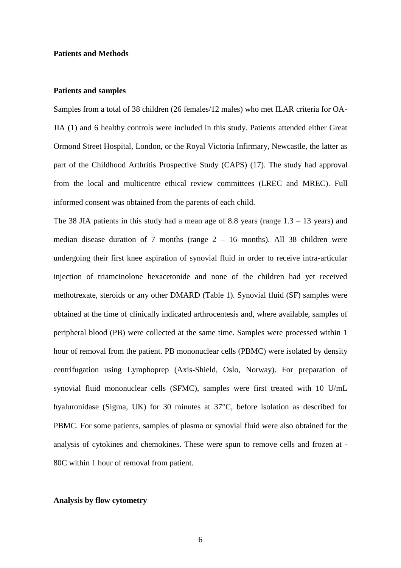### **Patients and Methods**

#### **Patients and samples**

Samples from a total of 38 children (26 females/12 males) who met ILAR criteria for OA-JIA (1) and 6 healthy controls were included in this study. Patients attended either Great Ormond Street Hospital, London, or the Royal Victoria Infirmary, Newcastle, the latter as part of the Childhood Arthritis Prospective Study (CAPS) (17). The study had approval from the local and multicentre ethical review committees (LREC and MREC). Full informed consent was obtained from the parents of each child.

The 38 JIA patients in this study had a mean age of 8.8 years (range  $1.3 - 13$  years) and median disease duration of 7 months (range  $2 - 16$  months). All 38 children were undergoing their first knee aspiration of synovial fluid in order to receive intra-articular injection of triamcinolone hexacetonide and none of the children had yet received methotrexate, steroids or any other DMARD (Table 1). Synovial fluid (SF) samples were obtained at the time of clinically indicated arthrocentesis and, where available, samples of peripheral blood (PB) were collected at the same time. Samples were processed within 1 hour of removal from the patient. PB mononuclear cells (PBMC) were isolated by density centrifugation using Lymphoprep (Axis-Shield, Oslo, Norway). For preparation of synovial fluid mononuclear cells (SFMC), samples were first treated with 10 U/mL hyaluronidase (Sigma, UK) for 30 minutes at 37°C, before isolation as described for PBMC. For some patients, samples of plasma or synovial fluid were also obtained for the analysis of cytokines and chemokines. These were spun to remove cells and frozen at - 80C within 1 hour of removal from patient.

### **Analysis by flow cytometry**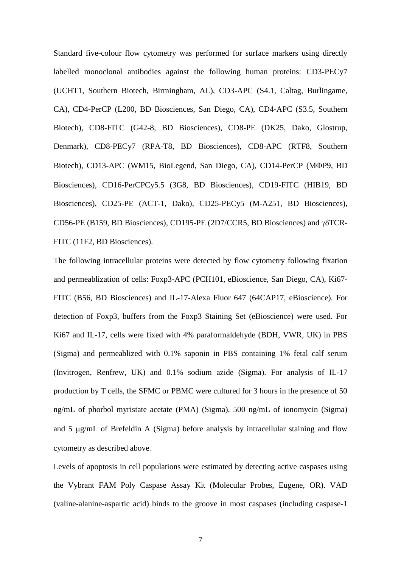Standard five-colour flow cytometry was performed for surface markers using directly labelled monoclonal antibodies against the following human proteins: CD3-PECy7 (UCHT1, Southern Biotech, Birmingham, AL), CD3-APC (S4.1, Caltag, Burlingame, CA), CD4-PerCP (L200, BD Biosciences, San Diego, CA), CD4-APC (S3.5, Southern Biotech), CD8-FITC (G42-8, BD Biosciences), CD8-PE (DK25, Dako, Glostrup, Denmark), CD8-PECy7 (RPA-T8, BD Biosciences), CD8-APC (RTF8, Southern Biotech), CD13-APC (WM15, BioLegend, San Diego, CA), CD14-PerCP (MΦP9, BD Biosciences), CD16-PerCPCy5.5 (3G8, BD Biosciences), CD19-FITC (HIB19, BD Biosciences), CD25-PE (ACT-1, Dako), CD25-PECy5 (M-A251, BD Biosciences), CD56-PE (B159, BD Biosciences), CD195-PE (2D7/CCR5, BD Biosciences) and  $\gamma\delta$ TCR-FITC (11F2, BD Biosciences).

The following intracellular proteins were detected by flow cytometry following fixation and permeablization of cells: Foxp3-APC (PCH101, eBioscience, San Diego, CA), Ki67- FITC (B56, BD Biosciences) and IL-17-Alexa Fluor 647 (64CAP17, eBioscience). For detection of Foxp3, buffers from the Foxp3 Staining Set (eBioscience) were used. For Ki67 and IL-17, cells were fixed with 4% paraformaldehyde (BDH, VWR, UK) in PBS (Sigma) and permeablized with 0.1% saponin in PBS containing 1% fetal calf serum (Invitrogen, Renfrew, UK) and 0.1% sodium azide (Sigma). For analysis of IL-17 production by T cells, the SFMC or PBMC were cultured for 3 hours in the presence of 50 ng/mL of phorbol myristate acetate (PMA) (Sigma), 500 ng/mL of ionomycin (Sigma) and  $5 \mu g/mL$  of Brefeldin A (Sigma) before analysis by intracellular staining and flow cytometry as described above.

Levels of apoptosis in cell populations were estimated by detecting active caspases using the Vybrant FAM Poly Caspase Assay Kit (Molecular Probes, Eugene, OR). VAD (valine-alanine-aspartic acid) binds to the groove in most caspases (including caspase-1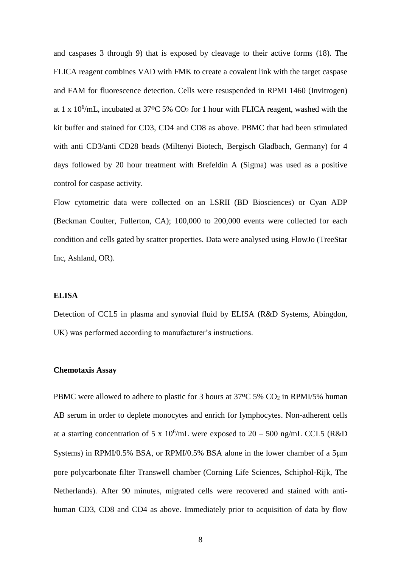and caspases 3 through 9) that is exposed by cleavage to their active forms (18). The FLICA reagent combines VAD with FMK to create a covalent link with the target caspase and FAM for fluorescence detection. Cells were resuspended in RPMI 1460 (Invitrogen) at 1 x 10<sup>6</sup>/mL, incubated at 37<sup>o</sup>C 5%  $CO_2$  for 1 hour with FLICA reagent, washed with the kit buffer and stained for CD3, CD4 and CD8 as above. PBMC that had been stimulated with anti CD3/anti CD28 beads (Miltenyi Biotech, Bergisch Gladbach, Germany) for 4 days followed by 20 hour treatment with Brefeldin A (Sigma) was used as a positive control for caspase activity.

Flow cytometric data were collected on an LSRII (BD Biosciences) or Cyan ADP (Beckman Coulter, Fullerton, CA); 100,000 to 200,000 events were collected for each condition and cells gated by scatter properties. Data were analysed using FlowJo (TreeStar Inc, Ashland, OR).

### **ELISA**

Detection of CCL5 in plasma and synovial fluid by ELISA (R&D Systems, Abingdon, UK) was performed according to manufacturer's instructions.

### **Chemotaxis Assay**

PBMC were allowed to adhere to plastic for 3 hours at 37<sup>o</sup>C 5% CO<sub>2</sub> in RPMI/5% human AB serum in order to deplete monocytes and enrich for lymphocytes. Non-adherent cells at a starting concentration of 5 x 10<sup>6</sup>/mL were exposed to 20 – 500 ng/mL CCL5 (R&D Systems) in RPMI/0.5% BSA, or RPMI/0.5% BSA alone in the lower chamber of a  $5\mu m$ pore polycarbonate filter Transwell chamber (Corning Life Sciences, Schiphol-Rijk, The Netherlands). After 90 minutes, migrated cells were recovered and stained with antihuman CD3, CD8 and CD4 as above. Immediately prior to acquisition of data by flow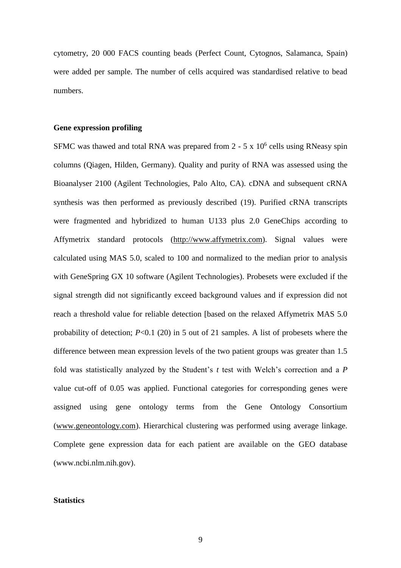cytometry, 20 000 FACS counting beads (Perfect Count, Cytognos, Salamanca, Spain) were added per sample. The number of cells acquired was standardised relative to bead numbers.

### **Gene expression profiling**

SFMC was thawed and total RNA was prepared from  $2 - 5 \times 10^6$  cells using RNeasy spin columns (Qiagen, Hilden, Germany). Quality and purity of RNA was assessed using the Bioanalyser 2100 (Agilent Technologies, Palo Alto, CA). cDNA and subsequent cRNA synthesis was then performed as previously described (19). Purified cRNA transcripts were fragmented and hybridized to human U133 plus 2.0 GeneChips according to Affymetrix standard protocols [\(http://www.affymetrix.com\)](http://www.affymetrix.com/). Signal values were calculated using MAS 5.0, scaled to 100 and normalized to the median prior to analysis with GeneSpring GX 10 software (Agilent Technologies). Probesets were excluded if the signal strength did not significantly exceed background values and if expression did not reach a threshold value for reliable detection [based on the relaxed Affymetrix MAS 5.0 probability of detection; *P*<0.1 (20) in 5 out of 21 samples. A list of probesets where the difference between mean expression levels of the two patient groups was greater than 1.5 fold was statistically analyzed by the Student's *t* test with Welch's correction and a *P*  value cut-off of 0.05 was applied. Functional categories for corresponding genes were assigned using gene ontology terms from the Gene Ontology Consortium [\(www.geneontology.com\)](http://www.geneontology.com/). Hierarchical clustering was performed using average linkage. Complete gene expression data for each patient are available on the GEO database (www.ncbi.nlm.nih.gov).

### **Statistics**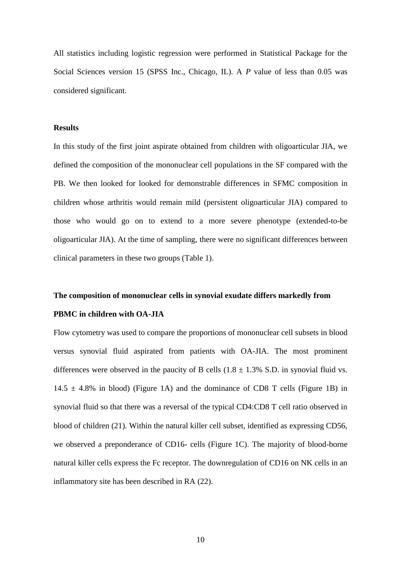All statistics including logistic regression were performed in Statistical Package for the Social Sciences version 15 (SPSS Inc., Chicago, IL). A *P* value of less than 0.05 was considered significant.

### **Results**

In this study of the first joint aspirate obtained from children with oligoarticular JIA, we defined the composition of the mononuclear cell populations in the SF compared with the PB. We then looked for looked for demonstrable differences in SFMC composition in children whose arthritis would remain mild (persistent oligoarticular JIA) compared to those who would go on to extend to a more severe phenotype (extended-to-be oligoarticular JIA). At the time of sampling, there were no significant differences between clinical parameters in these two groups (Table 1).

# **The composition of mononuclear cells in synovial exudate differs markedly from PBMC in children with OA-JIA**

Flow cytometry was used to compare the proportions of mononuclear cell subsets in blood versus synovial fluid aspirated from patients with OA-JIA. The most prominent differences were observed in the paucity of B cells  $(1.8 \pm 1.3\% \text{ S.D.}$  in synovial fluid vs.  $14.5 \pm 4.8\%$  in blood) (Figure 1A) and the dominance of CD8 T cells (Figure 1B) in synovial fluid so that there was a reversal of the typical CD4:CD8 T cell ratio observed in blood of children (21). Within the natural killer cell subset, identified as expressing CD56, we observed a preponderance of CD16- cells (Figure 1C). The majority of blood-borne natural killer cells express the Fc receptor. The downregulation of CD16 on NK cells in an inflammatory site has been described in RA (22).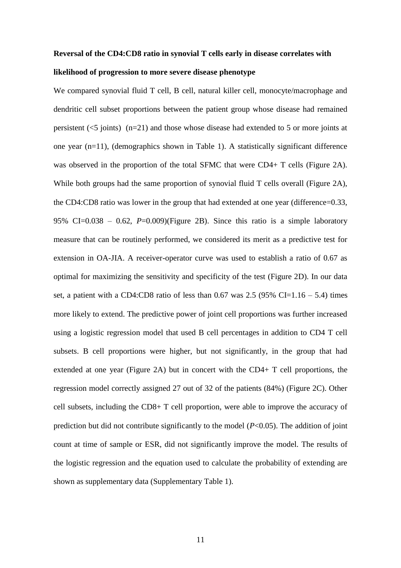# **Reversal of the CD4:CD8 ratio in synovial T cells early in disease correlates with likelihood of progression to more severe disease phenotype**

We compared synovial fluid T cell, B cell, natural killer cell, monocyte/macrophage and dendritic cell subset proportions between the patient group whose disease had remained persistent  $(<5$  joints) (n=21) and those whose disease had extended to 5 or more joints at one year (n=11), (demographics shown in Table 1). A statistically significant difference was observed in the proportion of the total SFMC that were CD4+ T cells (Figure 2A). While both groups had the same proportion of synovial fluid T cells overall (Figure 2A), the CD4:CD8 ratio was lower in the group that had extended at one year (difference=0.33, 95% CI=0.038 – 0.62,  $P=0.009$ )(Figure 2B). Since this ratio is a simple laboratory measure that can be routinely performed, we considered its merit as a predictive test for extension in OA-JIA. A receiver-operator curve was used to establish a ratio of 0.67 as optimal for maximizing the sensitivity and specificity of the test (Figure 2D). In our data set, a patient with a CD4:CD8 ratio of less than  $0.67$  was  $2.5$  (95% CI=1.16 – 5.4) times more likely to extend. The predictive power of joint cell proportions was further increased using a logistic regression model that used B cell percentages in addition to CD4 T cell subsets. B cell proportions were higher, but not significantly, in the group that had extended at one year (Figure 2A) but in concert with the CD4+ T cell proportions, the regression model correctly assigned 27 out of 32 of the patients (84%) (Figure 2C). Other cell subsets, including the CD8+ T cell proportion, were able to improve the accuracy of prediction but did not contribute significantly to the model  $(P<0.05)$ . The addition of joint count at time of sample or ESR, did not significantly improve the model. The results of the logistic regression and the equation used to calculate the probability of extending are shown as supplementary data (Supplementary Table 1).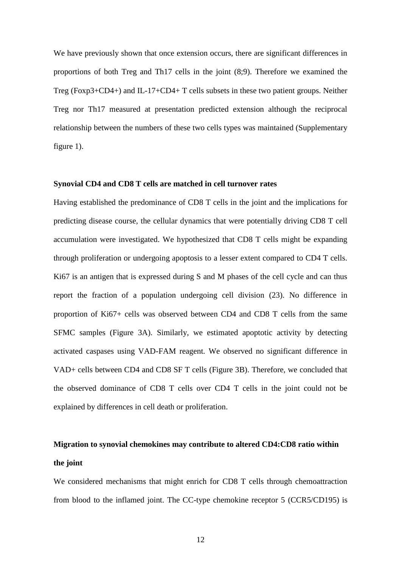We have previously shown that once extension occurs, there are significant differences in proportions of both Treg and Th17 cells in the joint (8;9). Therefore we examined the Treg (Foxp3+CD4+) and IL-17+CD4+ T cells subsets in these two patient groups. Neither Treg nor Th17 measured at presentation predicted extension although the reciprocal relationship between the numbers of these two cells types was maintained (Supplementary figure 1).

#### **Synovial CD4 and CD8 T cells are matched in cell turnover rates**

Having established the predominance of CD8 T cells in the joint and the implications for predicting disease course, the cellular dynamics that were potentially driving CD8 T cell accumulation were investigated. We hypothesized that CD8 T cells might be expanding through proliferation or undergoing apoptosis to a lesser extent compared to CD4 T cells. Ki67 is an antigen that is expressed during S and M phases of the cell cycle and can thus report the fraction of a population undergoing cell division (23). No difference in proportion of Ki67+ cells was observed between CD4 and CD8 T cells from the same SFMC samples (Figure 3A). Similarly, we estimated apoptotic activity by detecting activated caspases using VAD-FAM reagent. We observed no significant difference in VAD+ cells between CD4 and CD8 SF T cells (Figure 3B). Therefore, we concluded that the observed dominance of CD8 T cells over CD4 T cells in the joint could not be explained by differences in cell death or proliferation.

# **Migration to synovial chemokines may contribute to altered CD4:CD8 ratio within the joint**

We considered mechanisms that might enrich for CD8 T cells through chemoattraction from blood to the inflamed joint. The CC-type chemokine receptor 5 (CCR5/CD195) is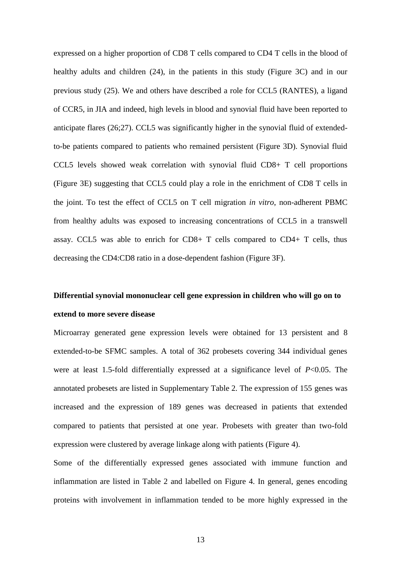expressed on a higher proportion of CD8 T cells compared to CD4 T cells in the blood of healthy adults and children (24), in the patients in this study (Figure 3C) and in our previous study (25). We and others have described a role for CCL5 (RANTES), a ligand of CCR5, in JIA and indeed, high levels in blood and synovial fluid have been reported to anticipate flares (26;27). CCL5 was significantly higher in the synovial fluid of extendedto-be patients compared to patients who remained persistent (Figure 3D). Synovial fluid CCL5 levels showed weak correlation with synovial fluid CD8+ T cell proportions (Figure 3E) suggesting that CCL5 could play a role in the enrichment of CD8 T cells in the joint. To test the effect of CCL5 on T cell migration *in vitro*, non-adherent PBMC from healthy adults was exposed to increasing concentrations of CCL5 in a transwell assay. CCL5 was able to enrich for CD8+ T cells compared to CD4+ T cells, thus decreasing the CD4:CD8 ratio in a dose-dependent fashion (Figure 3F).

# **Differential synovial mononuclear cell gene expression in children who will go on to extend to more severe disease**

Microarray generated gene expression levels were obtained for 13 persistent and 8 extended-to-be SFMC samples. A total of 362 probesets covering 344 individual genes were at least 1.5-fold differentially expressed at a significance level of *P*<0.05. The annotated probesets are listed in Supplementary Table 2. The expression of 155 genes was increased and the expression of 189 genes was decreased in patients that extended compared to patients that persisted at one year. Probesets with greater than two-fold expression were clustered by average linkage along with patients (Figure 4).

Some of the differentially expressed genes associated with immune function and inflammation are listed in Table 2 and labelled on Figure 4. In general, genes encoding proteins with involvement in inflammation tended to be more highly expressed in the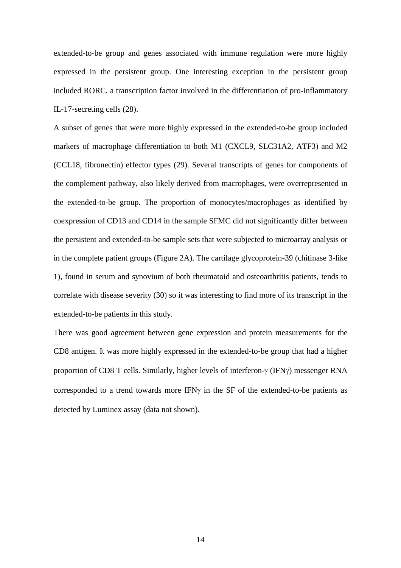extended-to-be group and genes associated with immune regulation were more highly expressed in the persistent group. One interesting exception in the persistent group included RORC, a transcription factor involved in the differentiation of pro-inflammatory IL-17-secreting cells (28).

A subset of genes that were more highly expressed in the extended-to-be group included markers of macrophage differentiation to both M1 (CXCL9, SLC31A2, ATF3) and M2 (CCL18, fibronectin) effector types (29). Several transcripts of genes for components of the complement pathway, also likely derived from macrophages, were overrepresented in the extended-to-be group. The proportion of monocytes/macrophages as identified by coexpression of CD13 and CD14 in the sample SFMC did not significantly differ between the persistent and extended-to-be sample sets that were subjected to microarray analysis or in the complete patient groups (Figure 2A). The cartilage glycoprotein-39 (chitinase 3-like 1), found in serum and synovium of both rheumatoid and osteoarthritis patients, tends to correlate with disease severity (30) so it was interesting to find more of its transcript in the extended-to-be patients in this study.

There was good agreement between gene expression and protein measurements for the CD8 antigen. It was more highly expressed in the extended-to-be group that had a higher proportion of CD8 T cells. Similarly, higher levels of interferon- $\gamma$  (IFN $\gamma$ ) messenger RNA corresponded to a trend towards more IFN $\gamma$  in the SF of the extended-to-be patients as detected by Luminex assay (data not shown).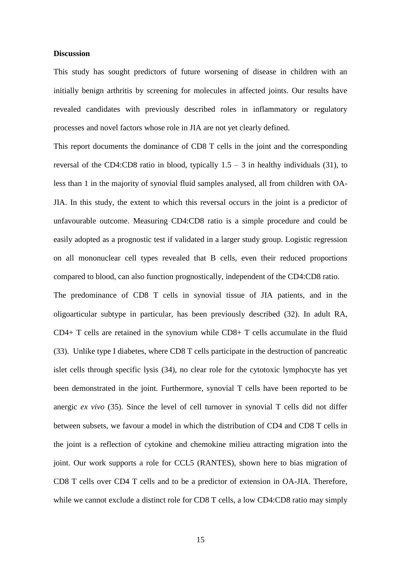#### **Discussion**

This study has sought predictors of future worsening of disease in children with an initially benign arthritis by screening for molecules in affected joints. Our results have revealed candidates with previously described roles in inflammatory or regulatory processes and novel factors whose role in JIA are not yet clearly defined.

This report documents the dominance of CD8 T cells in the joint and the corresponding reversal of the CD4:CD8 ratio in blood, typically  $1.5 - 3$  in healthy individuals (31), to less than 1 in the majority of synovial fluid samples analysed, all from children with OA-JIA. In this study, the extent to which this reversal occurs in the joint is a predictor of unfavourable outcome. Measuring CD4:CD8 ratio is a simple procedure and could be easily adopted as a prognostic test if validated in a larger study group. Logistic regression on all mononuclear cell types revealed that B cells, even their reduced proportions compared to blood, can also function prognostically, independent of the CD4:CD8 ratio.

The predominance of CD8 T cells in synovial tissue of JIA patients, and in the oligoarticular subtype in particular, has been previously described (32). In adult RA, CD4+ T cells are retained in the synovium while CD8+ T cells accumulate in the fluid (33). Unlike type I diabetes, where CD8 T cells participate in the destruction of pancreatic islet cells through specific lysis (34), no clear role for the cytotoxic lymphocyte has yet been demonstrated in the joint. Furthermore, synovial T cells have been reported to be anergic *ex vivo* (35). Since the level of cell turnover in synovial T cells did not differ between subsets, we favour a model in which the distribution of CD4 and CD8 T cells in the joint is a reflection of cytokine and chemokine milieu attracting migration into the joint. Our work supports a role for CCL5 (RANTES), shown here to bias migration of CD8 T cells over CD4 T cells and to be a predictor of extension in OA-JIA. Therefore, while we cannot exclude a distinct role for CD8 T cells, a low CD4:CD8 ratio may simply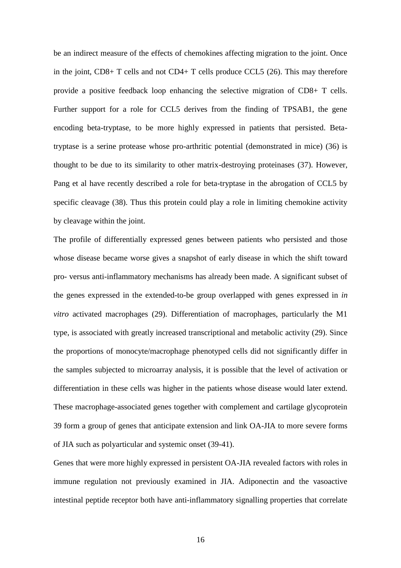be an indirect measure of the effects of chemokines affecting migration to the joint. Once in the joint, CD8+ T cells and not CD4+ T cells produce CCL5 (26). This may therefore provide a positive feedback loop enhancing the selective migration of CD8+ T cells. Further support for a role for CCL5 derives from the finding of TPSAB1, the gene encoding beta-tryptase, to be more highly expressed in patients that persisted. Betatryptase is a serine protease whose pro-arthritic potential (demonstrated in mice) (36) is thought to be due to its similarity to other matrix-destroying proteinases (37). However, Pang et al have recently described a role for beta-tryptase in the abrogation of CCL5 by specific cleavage (38). Thus this protein could play a role in limiting chemokine activity by cleavage within the joint.

The profile of differentially expressed genes between patients who persisted and those whose disease became worse gives a snapshot of early disease in which the shift toward pro- versus anti-inflammatory mechanisms has already been made. A significant subset of the genes expressed in the extended-to-be group overlapped with genes expressed in *in vitro* activated macrophages (29). Differentiation of macrophages, particularly the M1 type, is associated with greatly increased transcriptional and metabolic activity (29). Since the proportions of monocyte/macrophage phenotyped cells did not significantly differ in the samples subjected to microarray analysis, it is possible that the level of activation or differentiation in these cells was higher in the patients whose disease would later extend. These macrophage-associated genes together with complement and cartilage glycoprotein 39 form a group of genes that anticipate extension and link OA-JIA to more severe forms of JIA such as polyarticular and systemic onset (39-41).

Genes that were more highly expressed in persistent OA-JIA revealed factors with roles in immune regulation not previously examined in JIA. Adiponectin and the vasoactive intestinal peptide receptor both have anti-inflammatory signalling properties that correlate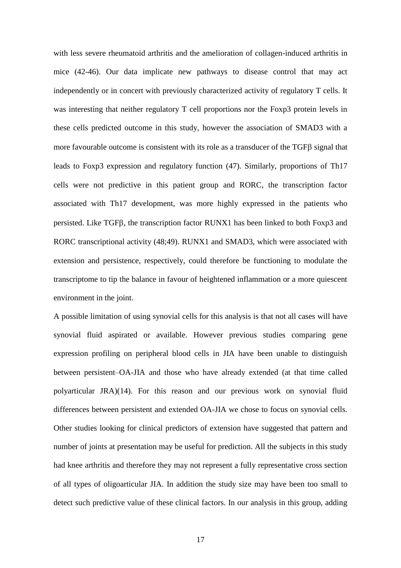with less severe rheumatoid arthritis and the amelioration of collagen-induced arthritis in mice (42-46). Our data implicate new pathways to disease control that may act independently or in concert with previously characterized activity of regulatory T cells. It was interesting that neither regulatory T cell proportions nor the Foxp3 protein levels in these cells predicted outcome in this study, however the association of SMAD3 with a more favourable outcome is consistent with its role as a transducer of the  $TGF\beta$  signal that leads to Foxp3 expression and regulatory function (47). Similarly, proportions of Th17 cells were not predictive in this patient group and RORC, the transcription factor associated with Th17 development, was more highly expressed in the patients who persisted. Like TGFB, the transcription factor RUNX1 has been linked to both Foxp3 and RORC transcriptional activity (48;49). RUNX1 and SMAD3, which were associated with extension and persistence, respectively, could therefore be functioning to modulate the transcriptome to tip the balance in favour of heightened inflammation or a more quiescent environment in the joint.

A possible limitation of using synovial cells for this analysis is that not all cases will have synovial fluid aspirated or available. However previous studies comparing gene expression profiling on peripheral blood cells in JIA have been unable to distinguish between persistent–OA-JIA and those who have already extended (at that time called polyarticular JRA)(14). For this reason and our previous work on synovial fluid differences between persistent and extended OA-JIA we chose to focus on synovial cells. Other studies looking for clinical predictors of extension have suggested that pattern and number of joints at presentation may be useful for prediction. All the subjects in this study had knee arthritis and therefore they may not represent a fully representative cross section of all types of oligoarticular JIA. In addition the study size may have been too small to detect such predictive value of these clinical factors. In our analysis in this group, adding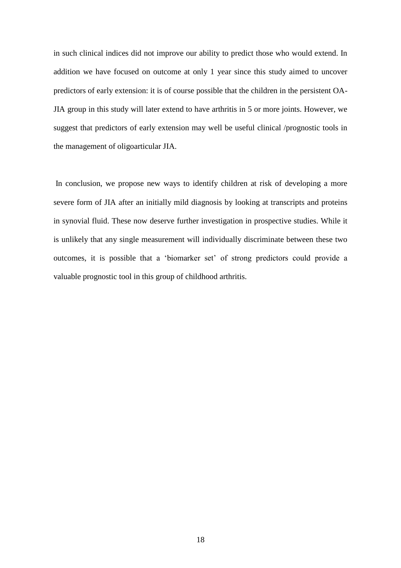in such clinical indices did not improve our ability to predict those who would extend. In addition we have focused on outcome at only 1 year since this study aimed to uncover predictors of early extension: it is of course possible that the children in the persistent OA-JIA group in this study will later extend to have arthritis in 5 or more joints. However, we suggest that predictors of early extension may well be useful clinical /prognostic tools in the management of oligoarticular JIA.

In conclusion, we propose new ways to identify children at risk of developing a more severe form of JIA after an initially mild diagnosis by looking at transcripts and proteins in synovial fluid. These now deserve further investigation in prospective studies. While it is unlikely that any single measurement will individually discriminate between these two outcomes, it is possible that a 'biomarker set' of strong predictors could provide a valuable prognostic tool in this group of childhood arthritis.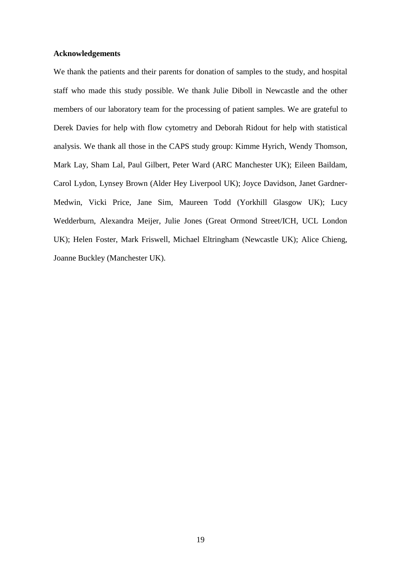### **Acknowledgements**

We thank the patients and their parents for donation of samples to the study, and hospital staff who made this study possible. We thank Julie Diboll in Newcastle and the other members of our laboratory team for the processing of patient samples. We are grateful to Derek Davies for help with flow cytometry and Deborah Ridout for help with statistical analysis. We thank all those in the CAPS study group: Kimme Hyrich, Wendy Thomson, Mark Lay, Sham Lal, Paul Gilbert, Peter Ward (ARC Manchester UK); Eileen Baildam, Carol Lydon, Lynsey Brown (Alder Hey Liverpool UK); Joyce Davidson, Janet Gardner-Medwin, Vicki Price, Jane Sim, Maureen Todd (Yorkhill Glasgow UK); Lucy Wedderburn, Alexandra Meijer, Julie Jones (Great Ormond Street/ICH, UCL London UK); Helen Foster, Mark Friswell, Michael Eltringham (Newcastle UK); Alice Chieng, Joanne Buckley (Manchester UK).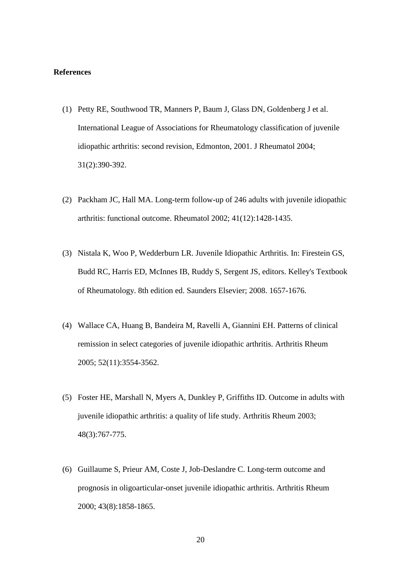#### **References**

- (1) Petty RE, Southwood TR, Manners P, Baum J, Glass DN, Goldenberg J et al. International League of Associations for Rheumatology classification of juvenile idiopathic arthritis: second revision, Edmonton, 2001. J Rheumatol 2004; 31(2):390-392.
- (2) Packham JC, Hall MA. Long-term follow-up of 246 adults with juvenile idiopathic arthritis: functional outcome. Rheumatol 2002; 41(12):1428-1435.
- (3) Nistala K, Woo P, Wedderburn LR. Juvenile Idiopathic Arthritis. In: Firestein GS, Budd RC, Harris ED, McInnes IB, Ruddy S, Sergent JS, editors. Kelley's Textbook of Rheumatology. 8th edition ed. Saunders Elsevier; 2008. 1657-1676.
- (4) Wallace CA, Huang B, Bandeira M, Ravelli A, Giannini EH. Patterns of clinical remission in select categories of juvenile idiopathic arthritis. Arthritis Rheum 2005; 52(11):3554-3562.
- (5) Foster HE, Marshall N, Myers A, Dunkley P, Griffiths ID. Outcome in adults with juvenile idiopathic arthritis: a quality of life study. Arthritis Rheum 2003; 48(3):767-775.
- (6) Guillaume S, Prieur AM, Coste J, Job-Deslandre C. Long-term outcome and prognosis in oligoarticular-onset juvenile idiopathic arthritis. Arthritis Rheum 2000; 43(8):1858-1865.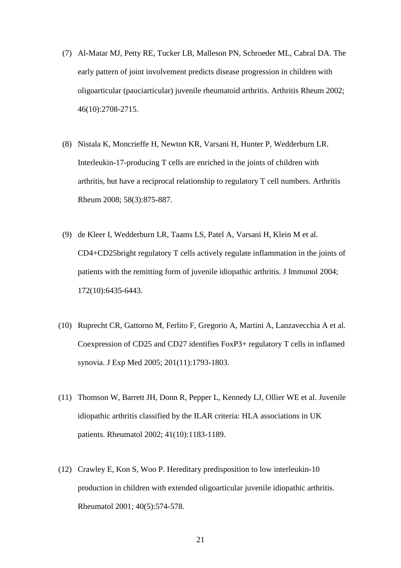- (7) Al-Matar MJ, Petty RE, Tucker LB, Malleson PN, Schroeder ML, Cabral DA. The early pattern of joint involvement predicts disease progression in children with oligoarticular (pauciarticular) juvenile rheumatoid arthritis. Arthritis Rheum 2002; 46(10):2708-2715.
- (8) Nistala K, Moncrieffe H, Newton KR, Varsani H, Hunter P, Wedderburn LR. Interleukin-17-producing T cells are enriched in the joints of children with arthritis, but have a reciprocal relationship to regulatory T cell numbers. Arthritis Rheum 2008; 58(3):875-887.
- (9) de Kleer I, Wedderburn LR, Taams LS, Patel A, Varsani H, Klein M et al. CD4+CD25bright regulatory T cells actively regulate inflammation in the joints of patients with the remitting form of juvenile idiopathic arthritis. J Immunol 2004; 172(10):6435-6443.
- (10) Ruprecht CR, Gattorno M, Ferlito F, Gregorio A, Martini A, Lanzavecchia A et al. Coexpression of CD25 and CD27 identifies FoxP3+ regulatory T cells in inflamed synovia. J Exp Med 2005; 201(11):1793-1803.
- (11) Thomson W, Barrett JH, Donn R, Pepper L, Kennedy LJ, Ollier WE et al. Juvenile idiopathic arthritis classified by the ILAR criteria: HLA associations in UK patients. Rheumatol 2002; 41(10):1183-1189.
- (12) Crawley E, Kon S, Woo P. Hereditary predisposition to low interleukin-10 production in children with extended oligoarticular juvenile idiopathic arthritis. Rheumatol 2001; 40(5):574-578.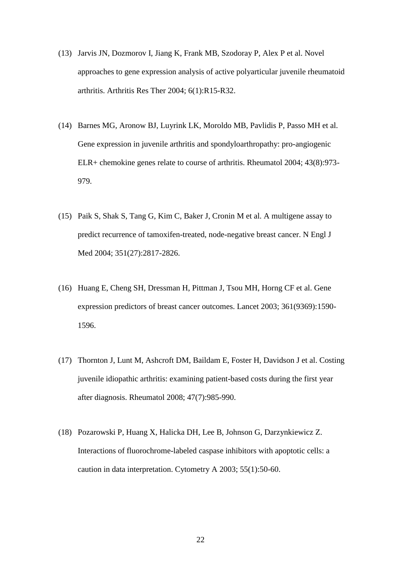- (13) Jarvis JN, Dozmorov I, Jiang K, Frank MB, Szodoray P, Alex P et al. Novel approaches to gene expression analysis of active polyarticular juvenile rheumatoid arthritis. Arthritis Res Ther 2004; 6(1):R15-R32.
- (14) Barnes MG, Aronow BJ, Luyrink LK, Moroldo MB, Pavlidis P, Passo MH et al. Gene expression in juvenile arthritis and spondyloarthropathy: pro-angiogenic ELR+ chemokine genes relate to course of arthritis. Rheumatol 2004; 43(8):973- 979.
- (15) Paik S, Shak S, Tang G, Kim C, Baker J, Cronin M et al. A multigene assay to predict recurrence of tamoxifen-treated, node-negative breast cancer. N Engl J Med 2004; 351(27):2817-2826.
- (16) Huang E, Cheng SH, Dressman H, Pittman J, Tsou MH, Horng CF et al. Gene expression predictors of breast cancer outcomes. Lancet 2003; 361(9369):1590- 1596.
- (17) Thornton J, Lunt M, Ashcroft DM, Baildam E, Foster H, Davidson J et al. Costing juvenile idiopathic arthritis: examining patient-based costs during the first year after diagnosis. Rheumatol 2008; 47(7):985-990.
- (18) Pozarowski P, Huang X, Halicka DH, Lee B, Johnson G, Darzynkiewicz Z. Interactions of fluorochrome-labeled caspase inhibitors with apoptotic cells: a caution in data interpretation. Cytometry A 2003; 55(1):50-60.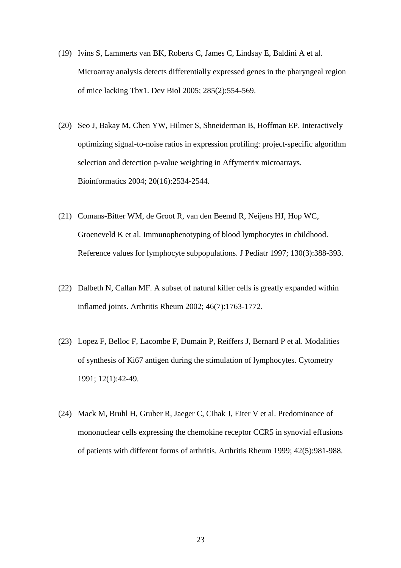- (19) Ivins S, Lammerts van BK, Roberts C, James C, Lindsay E, Baldini A et al. Microarray analysis detects differentially expressed genes in the pharyngeal region of mice lacking Tbx1. Dev Biol 2005; 285(2):554-569.
- (20) Seo J, Bakay M, Chen YW, Hilmer S, Shneiderman B, Hoffman EP. Interactively optimizing signal-to-noise ratios in expression profiling: project-specific algorithm selection and detection p-value weighting in Affymetrix microarrays. Bioinformatics 2004; 20(16):2534-2544.
- (21) Comans-Bitter WM, de Groot R, van den Beemd R, Neijens HJ, Hop WC, Groeneveld K et al. Immunophenotyping of blood lymphocytes in childhood. Reference values for lymphocyte subpopulations. J Pediatr 1997; 130(3):388-393.
- (22) Dalbeth N, Callan MF. A subset of natural killer cells is greatly expanded within inflamed joints. Arthritis Rheum 2002; 46(7):1763-1772.
- (23) Lopez F, Belloc F, Lacombe F, Dumain P, Reiffers J, Bernard P et al. Modalities of synthesis of Ki67 antigen during the stimulation of lymphocytes. Cytometry 1991; 12(1):42-49.
- (24) Mack M, Bruhl H, Gruber R, Jaeger C, Cihak J, Eiter V et al. Predominance of mononuclear cells expressing the chemokine receptor CCR5 in synovial effusions of patients with different forms of arthritis. Arthritis Rheum 1999; 42(5):981-988.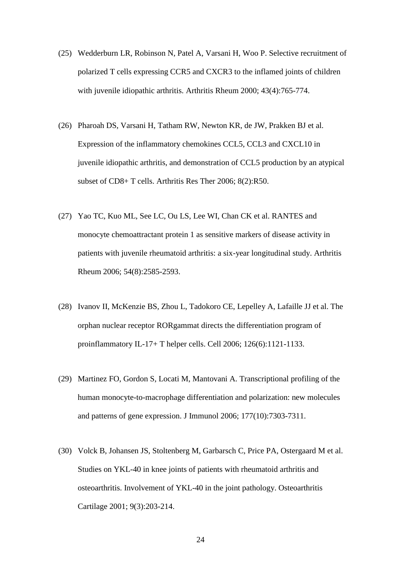- (25) Wedderburn LR, Robinson N, Patel A, Varsani H, Woo P. Selective recruitment of polarized T cells expressing CCR5 and CXCR3 to the inflamed joints of children with juvenile idiopathic arthritis. Arthritis Rheum 2000; 43(4):765-774.
- (26) Pharoah DS, Varsani H, Tatham RW, Newton KR, de JW, Prakken BJ et al. Expression of the inflammatory chemokines CCL5, CCL3 and CXCL10 in juvenile idiopathic arthritis, and demonstration of CCL5 production by an atypical subset of CD8+ T cells. Arthritis Res Ther 2006; 8(2):R50.
- (27) Yao TC, Kuo ML, See LC, Ou LS, Lee WI, Chan CK et al. RANTES and monocyte chemoattractant protein 1 as sensitive markers of disease activity in patients with juvenile rheumatoid arthritis: a six-year longitudinal study. Arthritis Rheum 2006; 54(8):2585-2593.
- (28) Ivanov II, McKenzie BS, Zhou L, Tadokoro CE, Lepelley A, Lafaille JJ et al. The orphan nuclear receptor RORgammat directs the differentiation program of proinflammatory IL-17+ T helper cells. Cell 2006; 126(6):1121-1133.
- (29) Martinez FO, Gordon S, Locati M, Mantovani A. Transcriptional profiling of the human monocyte-to-macrophage differentiation and polarization: new molecules and patterns of gene expression. J Immunol 2006; 177(10):7303-7311.
- (30) Volck B, Johansen JS, Stoltenberg M, Garbarsch C, Price PA, Ostergaard M et al. Studies on YKL-40 in knee joints of patients with rheumatoid arthritis and osteoarthritis. Involvement of YKL-40 in the joint pathology. Osteoarthritis Cartilage 2001; 9(3):203-214.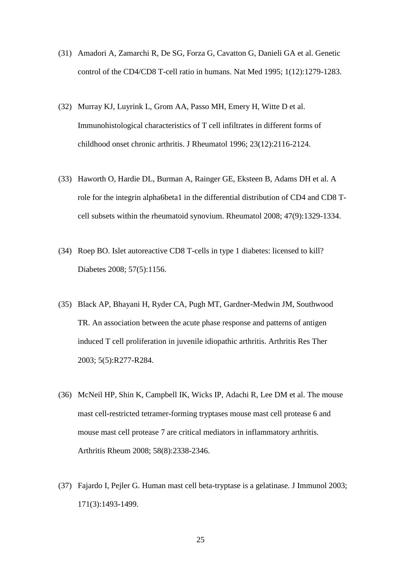- (31) Amadori A, Zamarchi R, De SG, Forza G, Cavatton G, Danieli GA et al. Genetic control of the CD4/CD8 T-cell ratio in humans. Nat Med 1995; 1(12):1279-1283.
- (32) Murray KJ, Luyrink L, Grom AA, Passo MH, Emery H, Witte D et al. Immunohistological characteristics of T cell infiltrates in different forms of childhood onset chronic arthritis. J Rheumatol 1996; 23(12):2116-2124.
- (33) Haworth O, Hardie DL, Burman A, Rainger GE, Eksteen B, Adams DH et al. A role for the integrin alpha6beta1 in the differential distribution of CD4 and CD8 Tcell subsets within the rheumatoid synovium. Rheumatol 2008; 47(9):1329-1334.
- (34) Roep BO. Islet autoreactive CD8 T-cells in type 1 diabetes: licensed to kill? Diabetes 2008; 57(5):1156.
- (35) Black AP, Bhayani H, Ryder CA, Pugh MT, Gardner-Medwin JM, Southwood TR. An association between the acute phase response and patterns of antigen induced T cell proliferation in juvenile idiopathic arthritis. Arthritis Res Ther 2003; 5(5):R277-R284.
- (36) McNeil HP, Shin K, Campbell IK, Wicks IP, Adachi R, Lee DM et al. The mouse mast cell-restricted tetramer-forming tryptases mouse mast cell protease 6 and mouse mast cell protease 7 are critical mediators in inflammatory arthritis. Arthritis Rheum 2008; 58(8):2338-2346.
- (37) Fajardo I, Pejler G. Human mast cell beta-tryptase is a gelatinase. J Immunol 2003; 171(3):1493-1499.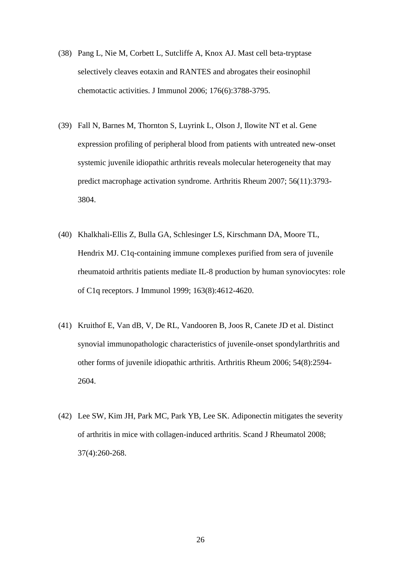- (38) Pang L, Nie M, Corbett L, Sutcliffe A, Knox AJ. Mast cell beta-tryptase selectively cleaves eotaxin and RANTES and abrogates their eosinophil chemotactic activities. J Immunol 2006; 176(6):3788-3795.
- (39) Fall N, Barnes M, Thornton S, Luyrink L, Olson J, Ilowite NT et al. Gene expression profiling of peripheral blood from patients with untreated new-onset systemic juvenile idiopathic arthritis reveals molecular heterogeneity that may predict macrophage activation syndrome. Arthritis Rheum 2007; 56(11):3793- 3804.
- (40) Khalkhali-Ellis Z, Bulla GA, Schlesinger LS, Kirschmann DA, Moore TL, Hendrix MJ. C1q-containing immune complexes purified from sera of juvenile rheumatoid arthritis patients mediate IL-8 production by human synoviocytes: role of C1q receptors. J Immunol 1999; 163(8):4612-4620.
- (41) Kruithof E, Van dB, V, De RL, Vandooren B, Joos R, Canete JD et al. Distinct synovial immunopathologic characteristics of juvenile-onset spondylarthritis and other forms of juvenile idiopathic arthritis. Arthritis Rheum 2006; 54(8):2594- 2604.
- (42) Lee SW, Kim JH, Park MC, Park YB, Lee SK. Adiponectin mitigates the severity of arthritis in mice with collagen-induced arthritis. Scand J Rheumatol 2008; 37(4):260-268.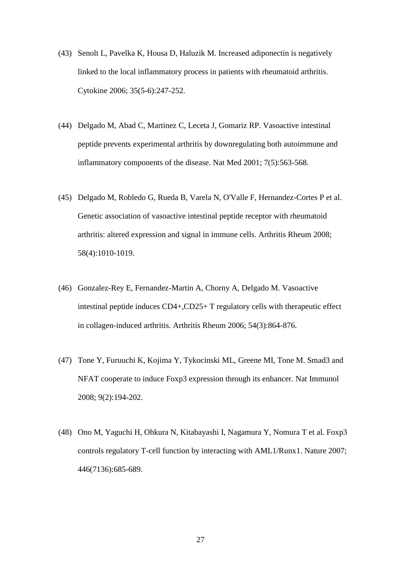- (43) Senolt L, Pavelka K, Housa D, Haluzik M. Increased adiponectin is negatively linked to the local inflammatory process in patients with rheumatoid arthritis. Cytokine 2006; 35(5-6):247-252.
- (44) Delgado M, Abad C, Martinez C, Leceta J, Gomariz RP. Vasoactive intestinal peptide prevents experimental arthritis by downregulating both autoimmune and inflammatory components of the disease. Nat Med 2001; 7(5):563-568.
- (45) Delgado M, Robledo G, Rueda B, Varela N, O'Valle F, Hernandez-Cortes P et al. Genetic association of vasoactive intestinal peptide receptor with rheumatoid arthritis: altered expression and signal in immune cells. Arthritis Rheum 2008; 58(4):1010-1019.
- (46) Gonzalez-Rey E, Fernandez-Martin A, Chorny A, Delgado M. Vasoactive intestinal peptide induces CD4+,CD25+ T regulatory cells with therapeutic effect in collagen-induced arthritis. Arthritis Rheum 2006; 54(3):864-876.
- (47) Tone Y, Furuuchi K, Kojima Y, Tykocinski ML, Greene MI, Tone M. Smad3 and NFAT cooperate to induce Foxp3 expression through its enhancer. Nat Immunol 2008; 9(2):194-202.
- (48) Ono M, Yaguchi H, Ohkura N, Kitabayashi I, Nagamura Y, Nomura T et al. Foxp3 controls regulatory T-cell function by interacting with AML1/Runx1. Nature 2007; 446(7136):685-689.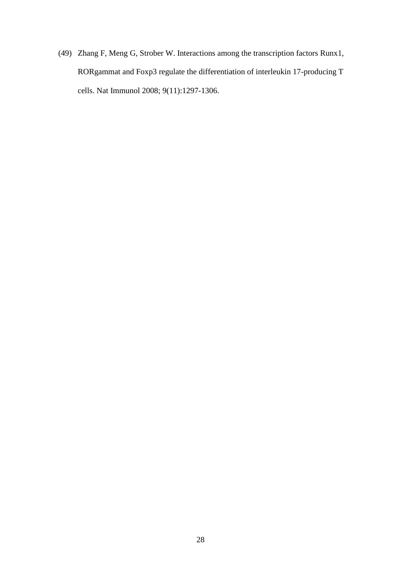(49) Zhang F, Meng G, Strober W. Interactions among the transcription factors Runx1, RORgammat and Foxp3 regulate the differentiation of interleukin 17-producing T cells. Nat Immunol 2008; 9(11):1297-1306.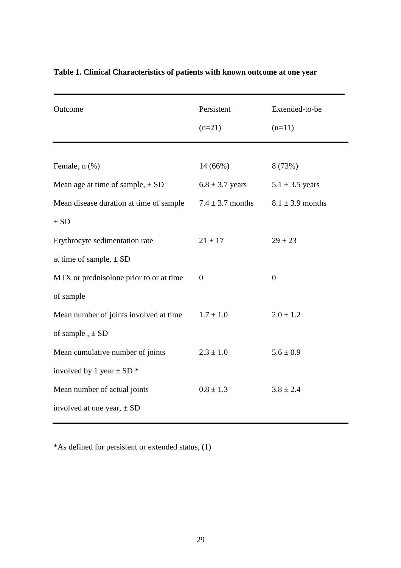| Outcome                                 | Persistent           | Extended-to-be       |
|-----------------------------------------|----------------------|----------------------|
|                                         | $(n=21)$             | $(n=11)$             |
|                                         |                      |                      |
| Female, n (%)                           | 14 (66%)             | 8 (73%)              |
| Mean age at time of sample, $\pm$ SD    | $6.8 \pm 3.7$ years  | $5.1 \pm 3.5$ years  |
| Mean disease duration at time of sample | $7.4 \pm 3.7$ months | $8.1 \pm 3.9$ months |
| $\pm$ SD                                |                      |                      |
| Erythrocyte sedimentation rate          | $21 \pm 17$          | $29 \pm 23$          |
| at time of sample, $\pm$ SD             |                      |                      |
| MTX or prednisolone prior to or at time | $\overline{0}$       | $\overline{0}$       |
| of sample                               |                      |                      |
| Mean number of joints involved at time  | $1.7 \pm 1.0$        | $2.0 \pm 1.2$        |
| of sample, $\pm$ SD                     |                      |                      |
| Mean cumulative number of joints        | $2.3 \pm 1.0$        | $5.6 \pm 0.9$        |
| involved by 1 year $\pm$ SD $*$         |                      |                      |
| Mean number of actual joints            | $0.8 \pm 1.3$        | $3.8 \pm 2.4$        |
| involved at one year, $\pm$ SD          |                      |                      |
|                                         |                      |                      |

## **Table 1. Clinical Characteristics of patients with known outcome at one year**

\*As defined for persistent or extended status, (1)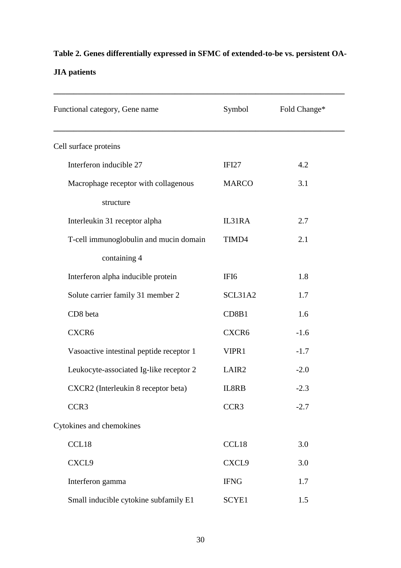# **Table 2. Genes differentially expressed in SFMC of extended-to-be vs. persistent OA-**

## **JIA patients**

| Functional category, Gene name           | Symbol            | Fold Change* |  |
|------------------------------------------|-------------------|--------------|--|
| Cell surface proteins                    |                   |              |  |
| Interferon inducible 27                  | IFI27             | 4.2          |  |
| Macrophage receptor with collagenous     | <b>MARCO</b>      | 3.1          |  |
| structure                                |                   |              |  |
| Interleukin 31 receptor alpha            | IL31RA            | 2.7          |  |
| T-cell immunoglobulin and mucin domain   | TIMD4             | 2.1          |  |
| containing 4                             |                   |              |  |
| Interferon alpha inducible protein       | IFI <sub>6</sub>  | 1.8          |  |
| Solute carrier family 31 member 2        | SCL31A2           | 1.7          |  |
| CD8 beta                                 | CD8B1             | 1.6          |  |
| CXCR6                                    | CXCR6             | $-1.6$       |  |
| Vasoactive intestinal peptide receptor 1 | VIPR1             | $-1.7$       |  |
| Leukocyte-associated Ig-like receptor 2  | LAIR <sub>2</sub> | $-2.0$       |  |
| CXCR2 (Interleukin 8 receptor beta)      | IL8RB             | $-2.3$       |  |
| CCR3                                     | CCR3              | $-2.7$       |  |
| Cytokines and chemokines                 |                   |              |  |
| CCL18                                    | CCL18             | 3.0          |  |
| CXCL9                                    | CXCL9             | 3.0          |  |
| Interferon gamma                         | <b>IFNG</b>       | 1.7          |  |
| Small inducible cytokine subfamily E1    | SCYE1             | 1.5          |  |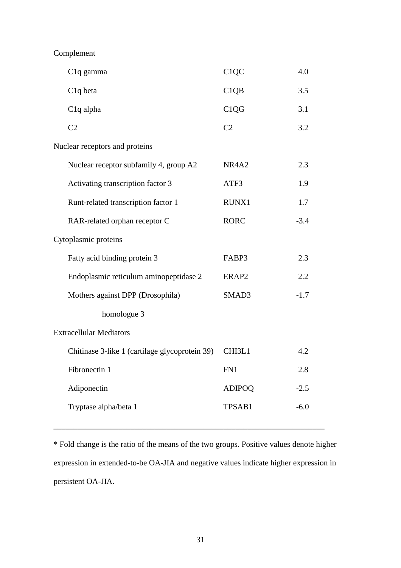Complement

|                                | C <sub>1</sub> q gamma                         | C <sub>1</sub> QC              | 4.0    |  |
|--------------------------------|------------------------------------------------|--------------------------------|--------|--|
|                                | C <sub>1</sub> q beta                          | C1QB                           | 3.5    |  |
|                                | C <sub>1</sub> q alpha                         | C <sub>1</sub> Q <sub>G</sub>  | 3.1    |  |
|                                | C <sub>2</sub>                                 | C <sub>2</sub>                 | 3.2    |  |
| Nuclear receptors and proteins |                                                |                                |        |  |
|                                | Nuclear receptor subfamily 4, group A2         | NR <sub>4</sub> A <sub>2</sub> | 2.3    |  |
|                                | Activating transcription factor 3              | ATF3                           | 1.9    |  |
|                                | Runt-related transcription factor 1            | RUNX1                          | 1.7    |  |
|                                | RAR-related orphan receptor C                  | <b>RORC</b>                    | $-3.4$ |  |
|                                | Cytoplasmic proteins                           |                                |        |  |
|                                | Fatty acid binding protein 3                   | FABP3                          | 2.3    |  |
|                                | Endoplasmic reticulum aminopeptidase 2         | ERAP2                          | 2.2    |  |
|                                | Mothers against DPP (Drosophila)               | SMAD3                          | $-1.7$ |  |
|                                | homologue 3                                    |                                |        |  |
| <b>Extracellular Mediators</b> |                                                |                                |        |  |
|                                | Chitinase 3-like 1 (cartilage glycoprotein 39) | CHI3L1                         | 4.2    |  |
|                                | Fibronectin 1                                  | FN1                            | 2.8    |  |
|                                | Adiponectin                                    | <b>ADIPOQ</b>                  | $-2.5$ |  |
|                                | Tryptase alpha/beta 1                          | TPSAB1                         | $-6.0$ |  |
|                                |                                                |                                |        |  |

\* Fold change is the ratio of the means of the two groups. Positive values denote higher expression in extended-to-be OA-JIA and negative values indicate higher expression in persistent OA-JIA.

**\_\_\_\_\_\_\_\_\_\_\_\_\_\_\_\_\_\_\_\_\_\_\_\_\_\_\_\_\_\_\_\_\_\_\_\_\_\_\_\_\_\_\_\_\_\_\_\_\_\_\_\_\_\_\_\_\_\_\_\_\_\_\_\_\_\_\_**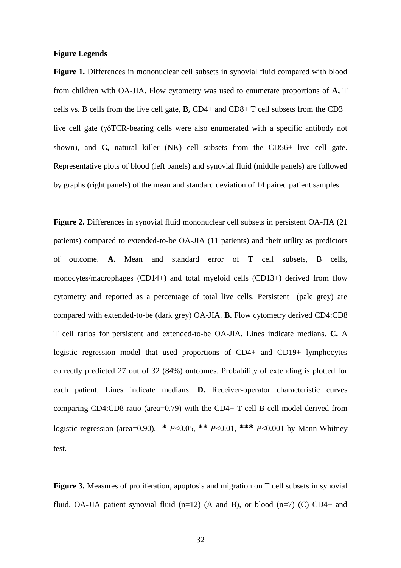### **Figure Legends**

**Figure 1.** Differences in mononuclear cell subsets in synovial fluid compared with blood from children with OA-JIA. Flow cytometry was used to enumerate proportions of **A,** T cells vs. B cells from the live cell gate, **B,** CD4+ and CD8+ T cell subsets from the CD3+ live cell gate ( $\gamma$ <sup>o</sup>TCR-bearing cells were also enumerated with a specific antibody not shown), and **C,** natural killer (NK) cell subsets from the CD56+ live cell gate. Representative plots of blood (left panels) and synovial fluid (middle panels) are followed by graphs (right panels) of the mean and standard deviation of 14 paired patient samples.

**Figure 2.** Differences in synovial fluid mononuclear cell subsets in persistent OA-JIA (21 patients) compared to extended-to-be OA-JIA (11 patients) and their utility as predictors of outcome. **A.** Mean and standard error of T cell subsets, B cells, monocytes/macrophages (CD14+) and total myeloid cells (CD13+) derived from flow cytometry and reported as a percentage of total live cells. Persistent (pale grey) are compared with extended-to-be (dark grey) OA-JIA. **B.** Flow cytometry derived CD4:CD8 T cell ratios for persistent and extended-to-be OA-JIA. Lines indicate medians. **C.** A logistic regression model that used proportions of CD4+ and CD19+ lymphocytes correctly predicted 27 out of 32 (84%) outcomes. Probability of extending is plotted for each patient. Lines indicate medians. **D.** Receiver-operator characteristic curves comparing CD4:CD8 ratio (area=0.79) with the CD4+ T cell-B cell model derived from logistic regression (area=0.90). **\*** *P*<0.05, **\*\*** *P*<0.01, **\*\*\*** *P*<0.001 by Mann-Whitney test.

**Figure 3.** Measures of proliferation, apoptosis and migration on T cell subsets in synovial fluid. OA-JIA patient synovial fluid  $(n=12)$  (A and B), or blood  $(n=7)$  (C) CD4+ and